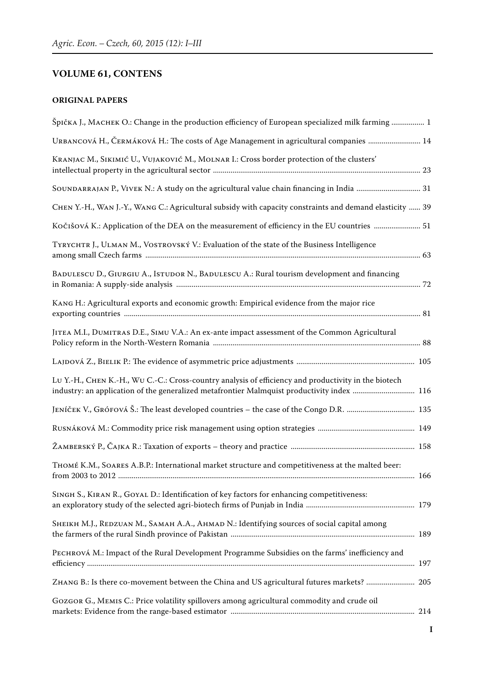## **VOLUME 61, CONTENS**

## **ORIGINAL PAPERS**

| Špička J., MACHEK O.: Change in the production efficiency of European specialized milk farming  1                                                                                                  |  |
|----------------------------------------------------------------------------------------------------------------------------------------------------------------------------------------------------|--|
| URBANCOVÁ H., ČERMÁKOVÁ H.: The costs of Age Management in agricultural companies  14                                                                                                              |  |
| KRANJAC M., SIKIMIĆ U., VUJAKOVIĆ M., MOLNAR I.: Cross border protection of the clusters'                                                                                                          |  |
| SOUNDARRAJAN P., VIVEK N.: A study on the agricultural value chain financing in India  31                                                                                                          |  |
| CHEN Y.-H., WAN J.-Y., WANG C.: Agricultural subsidy with capacity constraints and demand elasticity  39                                                                                           |  |
| Kočišová K.: Application of the DEA on the measurement of efficiency in the EU countries  51                                                                                                       |  |
| TYRYCHTR J., ULMAN M., VOSTROVSKÝ V.: Evaluation of the state of the Business Intelligence                                                                                                         |  |
| BADULESCU D., GIURGIU A., ISTUDOR N., BADULESCU A.: Rural tourism development and financing                                                                                                        |  |
| KANG H.: Agricultural exports and economic growth: Empirical evidence from the major rice                                                                                                          |  |
| JITEA M.I., DUMITRAS D.E., SIMU V.A.: An ex-ante impact assessment of the Common Agricultural                                                                                                      |  |
|                                                                                                                                                                                                    |  |
| LU Y.-H., CHEN K.-H., WU C.-C.: Cross-country analysis of efficiency and productivity in the biotech<br>industry: an application of the generalized metafrontier Malmquist productivity index  116 |  |
|                                                                                                                                                                                                    |  |
|                                                                                                                                                                                                    |  |
|                                                                                                                                                                                                    |  |
| THOMÉ K.M., SOARES A.B.P.: International market structure and competitiveness at the malted beer:                                                                                                  |  |
| SINGH S., KIRAN R., GOYAL D.: Identification of key factors for enhancing competitiveness:                                                                                                         |  |
| SHEIKH M.J., REDZUAN M., SAMAH A.A., AHMAD N.: Identifying sources of social capital among                                                                                                         |  |
| PECHROVÁ M.: Impact of the Rural Development Programme Subsidies on the farms' inefficiency and                                                                                                    |  |
| ZHANG B.: Is there co-movement between the China and US agricultural futures markets?  205                                                                                                         |  |
| GOZGOR G., MEMIS C.: Price volatility spillovers among agricultural commodity and crude oil                                                                                                        |  |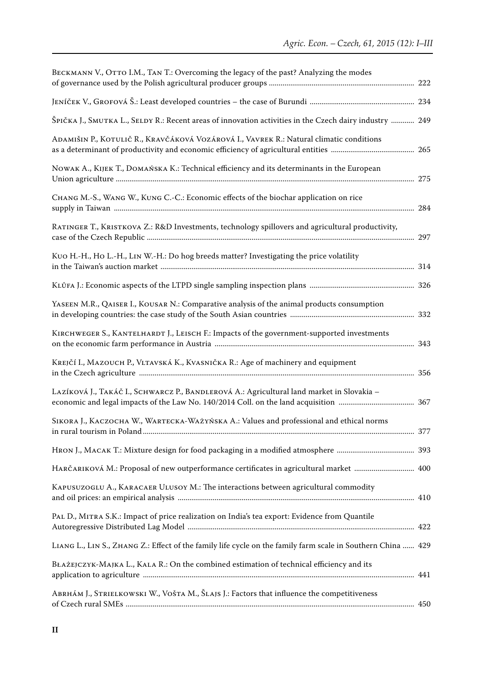| BECKMANN V., OTTO I.M., TAN T.: Overcoming the legacy of the past? Analyzing the modes                      |  |
|-------------------------------------------------------------------------------------------------------------|--|
|                                                                                                             |  |
| ŠPIČKA J., SMUTKA L., SELDY R.: Recent areas of innovation activities in the Czech dairy industry  249      |  |
| ADAMIŠIN P., KOTULIČ R., KRAVČÁKOVÁ VOZÁROVÁ I., VAVREK R.: Natural climatic conditions                     |  |
| NOWAK A., KIJEK T., DOMAŃSKA K.: Technical efficiency and its determinants in the European                  |  |
| CHANG M.-S., WANG W., KUNG C.-C.: Economic effects of the biochar application on rice                       |  |
| RATINGER T., KRISTKOVA Z.: R&D Investments, technology spillovers and agricultural productivity,            |  |
| KUO H.-H., HO L.-H., LIN W.-H.: Do hog breeds matter? Investigating the price volatility                    |  |
|                                                                                                             |  |
| YASEEN M.R., QAISER I., KOUSAR N.: Comparative analysis of the animal products consumption                  |  |
| KIRCHWEGER S., KANTELHARDT J., LEISCH F.: Impacts of the government-supported investments                   |  |
| KREJČÍ I., MAZOUCH P., VLTAVSKÁ K., KVASNIČKA R.: Age of machinery and equipment                            |  |
| LAZÍKOVÁ J., TAKÁČ I., SCHWARCZ P., BANDLEROVÁ A.: Agricultural land market in Slovakia -                   |  |
| SIKORA J., KACZOCHA W., WARTECKA-WAŻYŃSKA A.: Values and professional and ethical norms                     |  |
|                                                                                                             |  |
| HARČARIKOVÁ M.: Proposal of new outperformance certificates in agricultural market  400                     |  |
| KAPUSUZOGLU A., KARACAER ULUSOY M.: The interactions between agricultural commodity                         |  |
| PAL D., MITRA S.K.: Impact of price realization on India's tea export: Evidence from Quantile               |  |
| LIANG L., LIN S., ZHANG Z.: Effect of the family life cycle on the family farm scale in Southern China  429 |  |
| BŁAŻEJCZYK-MAJKA L., KALA R.: On the combined estimation of technical efficiency and its                    |  |
| ABRHÁM J., STRIELKOWSKI W., VOŠTA M., ŠLAJS J.: Factors that influence the competitiveness                  |  |